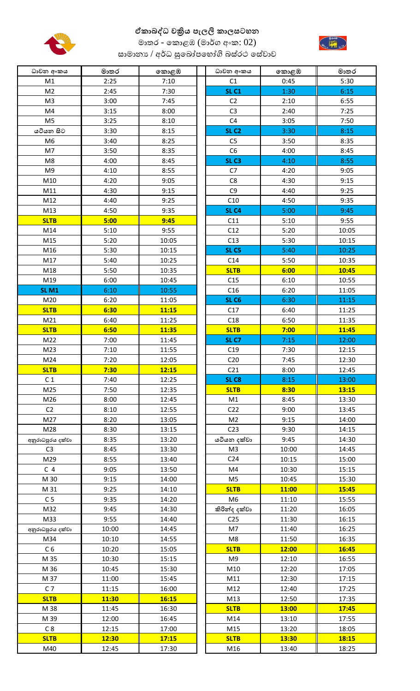

## **ඒකාබද්ධ චක්රිය පැලි කාසටහන**



මාතර - කොළඹ (මාර්ග අංක:  $02$ ) සාමානා $\sqrt{q}$ රිධ සුඛෝපහෝගි බස්රථ සේවාව

| ධාවන අංකය        | මාතර  | කොළඹ  | ධාවන අංකය        | කොළඹ  | මාතර  |
|------------------|-------|-------|------------------|-------|-------|
| M1               | 2:25  | 7:10  | C1               | 0:45  | 5:30  |
| M <sub>2</sub>   | 2:45  | 7:30  | <b>SL C1</b>     | 1:30  | 6:15  |
| M <sub>3</sub>   | 3:00  | 7:45  | C <sub>2</sub>   | 2:10  | 6:55  |
| M4               | 3:15  | 8:00  | C <sub>3</sub>   | 2:40  | 7:25  |
| M <sub>5</sub>   | 3:25  | 8:10  | C4               | 3:05  | 7:50  |
| යටියන සිට        | 3:30  | 8:15  | SL <sub>C2</sub> | 3:30  | 8:15  |
| M <sub>6</sub>   | 3:40  | 8:25  | C <sub>5</sub>   | 3:50  | 8:35  |
| M7               | 3:50  | 8:35  | C6               | 4:00  | 8:45  |
| M8               | 4:00  | 8:45  | SL <sub>C3</sub> | 4:10  | 8:55  |
| M <sub>9</sub>   | 4:10  | 8:55  | C7               | 4:20  | 9:05  |
| M10              | 4:20  | 9:05  | C <sub>8</sub>   | 4:30  | 9:15  |
| M11              | 4:30  | 9:15  | C <sub>9</sub>   | 4:40  | 9:25  |
| M12              | 4:40  | 9:25  | C10              | 4:50  | 9:35  |
| M13              | 4:50  | 9:35  | SL <sub>C4</sub> | 5:00  | 9:45  |
| <b>SLTB</b>      | 5:00  | 9:45  | C11              | 5:10  | 9:55  |
| M14              | 5:10  | 9:55  | C12              | 5:20  | 10:05 |
| M15              | 5:20  | 10:05 | C13              | 5:30  | 10:15 |
| M16              | 5:30  | 10:15 | SL <sub>C5</sub> | 5:40  | 10:25 |
| M17              | 5:40  | 10:25 | C14              | 5:50  | 10:35 |
| M18              | 5:50  | 10:35 | <b>SLTB</b>      | 6:00  | 10:45 |
| M19              | 6:00  | 10:45 | C15              | 6:10  | 10:55 |
| <b>SL M1</b>     | 6:10  | 10:55 | C16              | 6:20  | 11:05 |
| M20              | 6:20  | 11:05 | <b>SL C6</b>     | 6:30  | 11:15 |
| <b>SLTB</b>      | 6:30  | 11:15 | C17              | 6:40  | 11:25 |
| M21              | 6:40  | 11:25 | C18              | 6:50  | 11:35 |
| <b>SLTB</b>      | 6:50  | 11:35 | <b>SLTB</b>      | 7:00  | 11:45 |
| M22              | 7:00  | 11:45 | SL <sub>C7</sub> | 7:15  | 12:00 |
| M <sub>23</sub>  | 7:10  | 11:55 | C19              | 7:30  | 12:15 |
| M24              | 7:20  | 12:05 | C <sub>20</sub>  | 7:45  | 12:30 |
| <b>SLTB</b>      | 7:30  | 12:15 | C <sub>21</sub>  | 8:00  | 12:45 |
| C <sub>1</sub>   | 7:40  | 12:25 | SL <sub>C8</sub> | 8:15  | 13:00 |
| M25              | 7:50  | 12:35 | <b>SLTB</b>      | 8:30  | 13:15 |
| M26              | 8:00  | 12:45 | M1               | 8:45  | 13:30 |
| C <sub>2</sub>   | 8:10  | 12:55 | C <sub>22</sub>  | 9:00  | 13:45 |
| M27              | 8:20  | 13:05 | M <sub>2</sub>   | 9:15  | 14:00 |
| M28              | 8:30  | 13:15 | C <sub>23</sub>  | 9:30  | 14:15 |
| අනුරාධපුරය දක්වා | 8:35  | 13:20 | යටියන දක්වා      | 9:45  | 14:30 |
| C <sub>3</sub>   | 8:45  | 13:30 | M <sub>3</sub>   | 10:00 | 14:45 |
| M29              | 8:55  | 13:40 | C <sub>24</sub>  | 10:15 | 15:00 |
| C <sub>4</sub>   | 9:05  | 13:50 | M4               | 10:30 | 15:15 |
| M 30             | 9:15  | 14:00 | M <sub>5</sub>   | 10:45 | 15:30 |
| M 31             | 9:25  | 14:10 | <b>SLTB</b>      | 11:00 | 15:45 |
| C <sub>5</sub>   | 9:35  | 14:20 | M <sub>6</sub>   | 11:10 | 15:55 |
| M32              | 9:45  | 14:30 | කිරින්ද දක්වා    | 11:20 | 16:05 |
| M33              | 9:55  | 14:40 | C <sub>25</sub>  | 11:30 | 16:15 |
| අනුරාධපුරය දක්වා | 10:00 | 14:45 | M7               | 11:40 | 16:25 |
| M34              | 10:10 | 14:55 | M <sub>8</sub>   | 11:50 | 16:35 |
| C <sub>6</sub>   | 10:20 | 15:05 | <b>SLTB</b>      | 12:00 | 16:45 |
| M 35             | 10:30 | 15:15 | M9               | 12:10 | 16:55 |
| M 36             | 10:45 | 15:30 | M10              | 12:20 | 17:05 |
| M 37             | 11:00 | 15:45 | M11              | 12:30 | 17:15 |
| C <sub>7</sub>   | 11:15 | 16:00 | M12              | 12:40 | 17:25 |
| <b>SLTB</b>      | 11:30 | 16:15 | M13              | 12:50 | 17:35 |
| M 38             | 11:45 | 16:30 | <b>SLTB</b>      | 13:00 | 17:45 |
| M 39             | 12:00 | 16:45 | M14              | 13:10 | 17:55 |
| C8               | 12:15 | 17:00 | M15              | 13:20 | 18:05 |
| <b>SLTB</b>      | 12:30 | 17:15 | <b>SLTB</b>      | 13:30 | 18:15 |
| M40              | 12:45 | 17:30 | M16              | 13:40 | 18:25 |